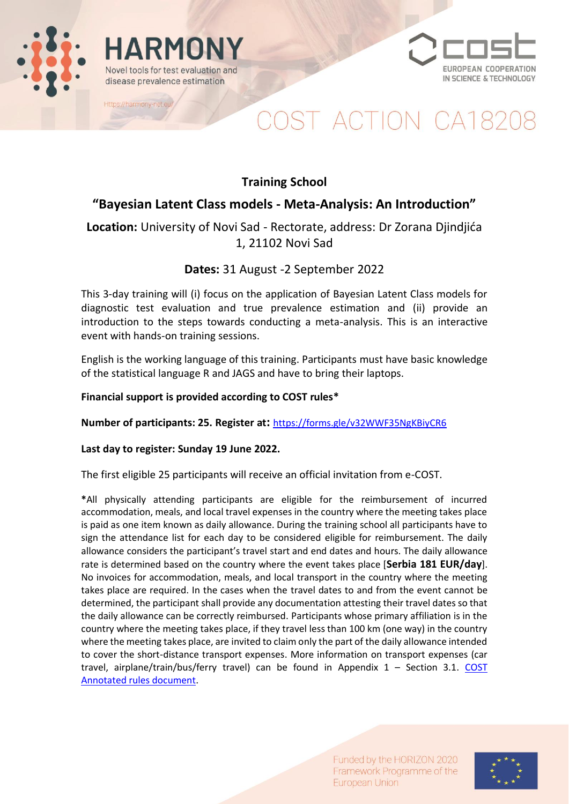



# OST ACTION CA182

### **Training School**

### **"Bayesian Latent Class models - Meta-Analysis: An Introduction"**

**Location:** University of Novi Sad - Rectorate, address: Dr Zorana Djindjića 1, 21102 Novi Sad

### **Dates:** 31 August -2 September 2022

This 3-day training will (i) focus on the application of Bayesian Latent Class models for diagnostic test evaluation and true prevalence estimation and (ii) provide an introduction to the steps towards conducting a meta-analysis. This is an interactive event with hands-on training sessions.

English is the working language of this training. Participants must have basic knowledge of the statistical language R and JAGS and have to bring their laptops.

#### **Financial support is provided according to COST rules\***

**Number of participants: 25. Register at:** <https://forms.gle/v32WWF35NgKBiyCR6>

#### **Last day to register: Sunday 19 June 2022.**

ARMON

Novel tools for test evaluation and

disease prevalence estimation

Https://harmony-net.eu/

The first eligible 25 participants will receive an official invitation from e-COST.

**\***All physically attending participants are eligible for the reimbursement of incurred accommodation, meals, and local travel expenses in the country where the meeting takes place is paid as one item known as daily allowance. During the training school all participants have to sign the attendance list for each day to be considered eligible for reimbursement. The daily allowance considers the participant's travel start and end dates and hours. The daily allowance rate is determined based on the country where the event takes place [**Serbia 181 EUR/day**]. No invoices for accommodation, meals, and local transport in the country where the meeting takes place are required. In the cases when the travel dates to and from the event cannot be determined, the participant shall provide any documentation attesting their travel dates so that the daily allowance can be correctly reimbursed. Participants whose primary affiliation is in the country where the meeting takes place, if they travel less than 100 km (one way) in the country where the meeting takes place, are invited to claim only the part of the daily allowance intended to cover the short-distance transport expenses. More information on transport expenses (car travel, airplane/train/bus/ferry travel) can be found in Appendix 1 – Section 3.1. [COST](https://www.cost.eu/uploads/2021/10/COST-094-21-Annotated-Rules-for-COST-Actions-Level-C-2021-11-01-1.pdf)  [Annotated rules document.](https://www.cost.eu/uploads/2021/10/COST-094-21-Annotated-Rules-for-COST-Actions-Level-C-2021-11-01-1.pdf)

> Funded by the HORIZON 2020 Framework Programme of the European Union

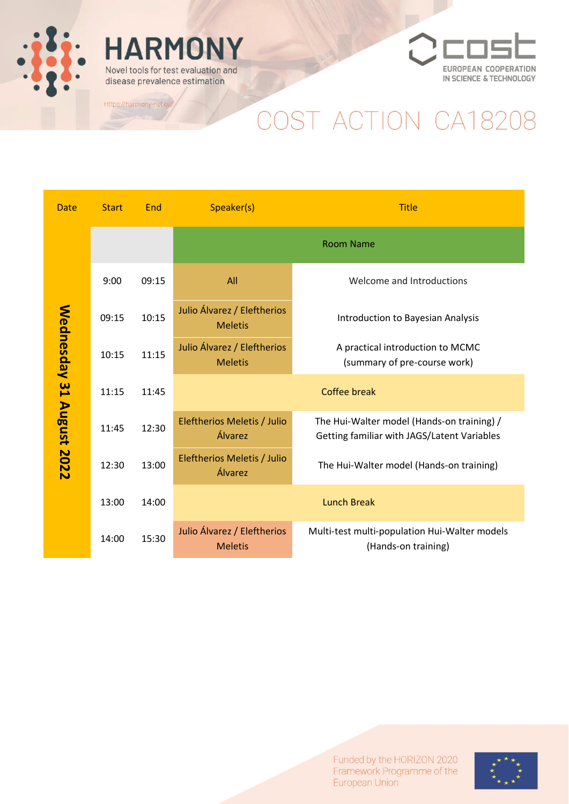

## **HARMONY** Novel tools for test evaluation and

disease prevalence estimation

Https://harmony-net.eu/



# COST ACTION CA18208

| <b>Date</b>              | <b>Start</b> | End   | Speaker(s)                                    | <b>Title</b>                                                                              |
|--------------------------|--------------|-------|-----------------------------------------------|-------------------------------------------------------------------------------------------|
| Wednesday 31 August 2022 |              |       |                                               | <b>Room Name</b>                                                                          |
|                          | 9:00         | 09:15 | All                                           | Welcome and Introductions                                                                 |
|                          | 09:15        | 10:15 | Julio Álvarez / Eleftherios<br><b>Meletis</b> | Introduction to Bayesian Analysis                                                         |
|                          | 10:15        | 11:15 | Julio Álvarez / Eleftherios<br><b>Meletis</b> | A practical introduction to MCMC<br>(summary of pre-course work)                          |
|                          | 11:15        | 11:45 |                                               | <b>Coffee break</b>                                                                       |
|                          | 11:45        | 12:30 | Eleftherios Meletis / Julio<br>Álvarez        | The Hui-Walter model (Hands-on training) /<br>Getting familiar with JAGS/Latent Variables |
|                          | 12:30        | 13:00 | Eleftherios Meletis / Julio<br>Álvarez        | The Hui-Walter model (Hands-on training)                                                  |
|                          | 13:00        | 14:00 |                                               | <b>Lunch Break</b>                                                                        |
|                          | 14:00        | 15:30 | Julio Álvarez / Eleftherios<br><b>Meletis</b> | Multi-test multi-population Hui-Walter models<br>(Hands-on training)                      |

Funded by the HORIZON 2020 Framework Programme of the European Union

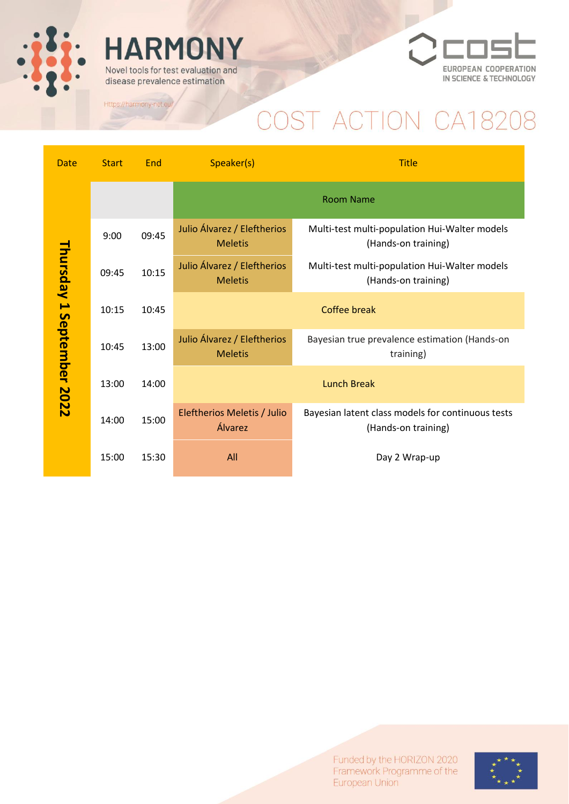

## **HARMONY** Novel tools for test evaluation and

disease prevalence estimation

Https://harmony-net.eu/



## COST ACTION CA18208

| <b>Date</b>               | <b>Start</b> | End   | Speaker(s)                                    | <b>Title</b>                                                             |  |
|---------------------------|--------------|-------|-----------------------------------------------|--------------------------------------------------------------------------|--|
| Thursday 1 September 2022 |              |       | <b>Room Name</b>                              |                                                                          |  |
|                           | 9:00         | 09:45 | Julio Álvarez / Eleftherios<br><b>Meletis</b> | Multi-test multi-population Hui-Walter models<br>(Hands-on training)     |  |
|                           | 09:45        | 10:15 | Julio Álvarez / Eleftherios<br><b>Meletis</b> | Multi-test multi-population Hui-Walter models<br>(Hands-on training)     |  |
|                           | 10:15        | 10:45 | <b>Coffee break</b>                           |                                                                          |  |
|                           | 10:45        | 13:00 | Julio Álvarez / Eleftherios<br><b>Meletis</b> | Bayesian true prevalence estimation (Hands-on<br>training)               |  |
|                           | 13:00        | 14:00 | <b>Lunch Break</b>                            |                                                                          |  |
|                           | 14:00        | 15:00 | Eleftherios Meletis / Julio<br>Álvarez        | Bayesian latent class models for continuous tests<br>(Hands-on training) |  |
|                           | 15:00        | 15:30 | All                                           | Day 2 Wrap-up                                                            |  |